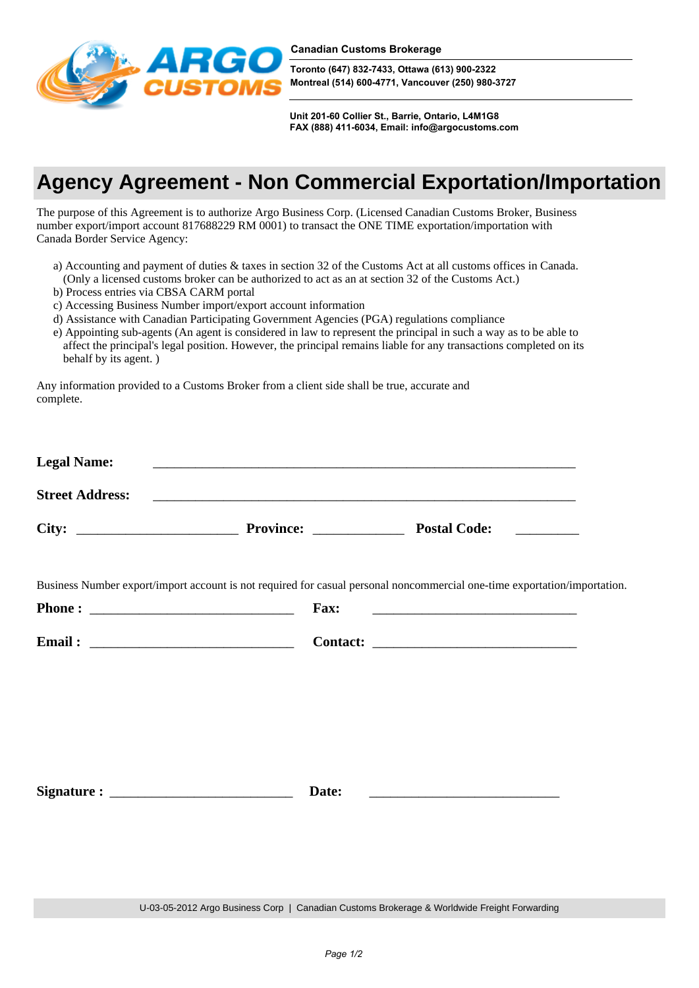

**Toronto (647) 832-7433, Ottawa (613) 900-2322 Montreal (514) 600-4771, Vancouver (250) 980-3727**

**Unit 201-60 Collier St., Barrie, Ontario, L4M1G8 FAX (888) 411-6034, Email: info@argocustoms.com**

## **Agency Agreement - Non Commercial Exportation/Importation**

The purpose of this Agreement is to authorize Argo Business Corp. (Licensed Canadian Customs Broker, Business number export/import account 817688229 RM 0001) to transact the ONE TIME exportation/importation with Canada Border Service Agency:

- a) Accounting and payment of duties & taxes in section 32 of the Customs Act at all customs offices in Canada. (Only a licensed customs broker can be authorized to act as an at section 32 of the Customs Act.)
- b) Process entries via CBSA CARM portal
- c) Accessing Business Number import/export account information
- d) Assistance with Canadian Participating Government Agencies (PGA) regulations compliance
- e) Appointing sub-agents (An agent is considered in law to represent the principal in such a way as to be able to affect the principal's legal position. However, the principal remains liable for any transactions completed on its behalf by its agent. )

Any information provided to a Customs Broker from a client side shall be true, accurate and complete.

| <b>Legal Name:</b>     |                  |                     |  |
|------------------------|------------------|---------------------|--|
| <b>Street Address:</b> |                  |                     |  |
| City:                  | <b>Province:</b> | <b>Postal Code:</b> |  |

Business Number export/import account is not required for casual personal noncommercial one-time exportation/importation.

| <b>Phone:</b> | <b>Fax:</b>     |
|---------------|-----------------|
|               |                 |
| Email:        | <b>Contact:</b> |

Signature : <u>Date:</u>